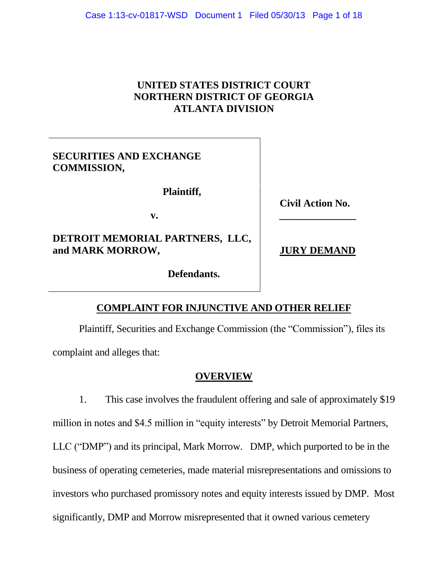# **UNITED STATES DISTRICT COURT NORTHERN DISTRICT OF GEORGIA ATLANTA DIVISION**

# **SECURITIES AND EXCHANGE COMMISSION,**

 **Plaintiff,**

**v. \_\_\_\_\_\_\_\_\_\_\_\_\_\_\_**

# **DETROIT MEMORIAL PARTNERS, LLC, and MARK MORROW, JURY DEMAND**

**Civil Action No.**

 **Defendants.**

# **COMPLAINT FOR INJUNCTIVE AND OTHER RELIEF**

Plaintiff, Securities and Exchange Commission (the "Commission"), files its complaint and alleges that:

## **OVERVIEW**

1. This case involves the fraudulent offering and sale of approximately \$19 million in notes and \$4.5 million in "equity interests" by Detroit Memorial Partners, LLC ("DMP") and its principal, Mark Morrow. DMP, which purported to be in the business of operating cemeteries, made material misrepresentations and omissions to investors who purchased promissory notes and equity interests issued by DMP. Most significantly, DMP and Morrow misrepresented that it owned various cemetery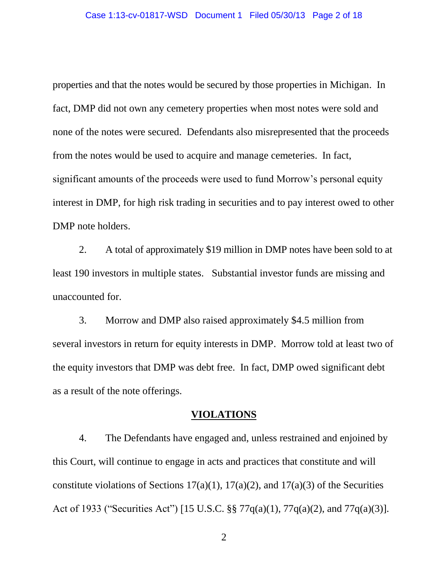properties and that the notes would be secured by those properties in Michigan. In fact, DMP did not own any cemetery properties when most notes were sold and none of the notes were secured. Defendants also misrepresented that the proceeds from the notes would be used to acquire and manage cemeteries. In fact, significant amounts of the proceeds were used to fund Morrow's personal equity interest in DMP, for high risk trading in securities and to pay interest owed to other DMP note holders.

2. A total of approximately \$19 million in DMP notes have been sold to at least 190 investors in multiple states. Substantial investor funds are missing and unaccounted for.

3. Morrow and DMP also raised approximately \$4.5 million from several investors in return for equity interests in DMP. Morrow told at least two of the equity investors that DMP was debt free. In fact, DMP owed significant debt as a result of the note offerings.

#### **VIOLATIONS**

4. The Defendants have engaged and, unless restrained and enjoined by this Court, will continue to engage in acts and practices that constitute and will constitute violations of Sections  $17(a)(1)$ ,  $17(a)(2)$ , and  $17(a)(3)$  of the Securities Act of 1933 ("Securities Act") [15 U.S.C. §§ 77q(a)(1), 77q(a)(2), and 77q(a)(3)].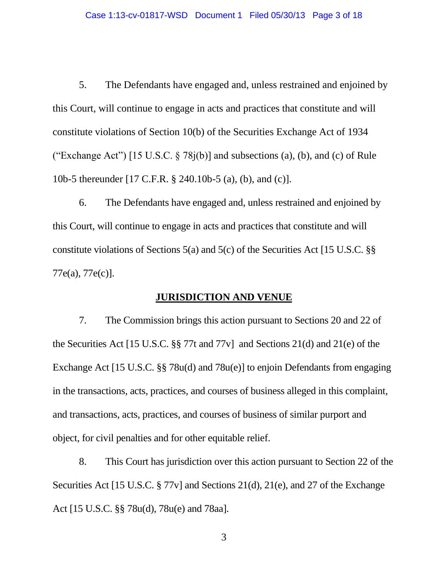5. The Defendants have engaged and, unless restrained and enjoined by this Court, will continue to engage in acts and practices that constitute and will constitute violations of Section 10(b) of the Securities Exchange Act of 1934 ("Exchange Act") [15 U.S.C.  $\S 78j(b)$ ] and subsections (a), (b), and (c) of Rule 10b-5 thereunder [17 C.F.R. § 240.10b-5 (a), (b), and (c)].

6. The Defendants have engaged and, unless restrained and enjoined by this Court, will continue to engage in acts and practices that constitute and will constitute violations of Sections 5(a) and 5(c) of the Securities Act [15 U.S.C. §§ 77e(a), 77e(c)].

#### **JURISDICTION AND VENUE**

7. The Commission brings this action pursuant to Sections 20 and 22 of the Securities Act [15 U.S.C. §§ 77t and 77v] and Sections 21(d) and 21(e) of the Exchange Act [15 U.S.C. §§ 78u(d) and 78u(e)] to enjoin Defendants from engaging in the transactions, acts, practices, and courses of business alleged in this complaint, and transactions, acts, practices, and courses of business of similar purport and object, for civil penalties and for other equitable relief.

8. This Court has jurisdiction over this action pursuant to Section 22 of the Securities Act [15 U.S.C. § 77v] and Sections 21(d), 21(e), and 27 of the Exchange Act [15 U.S.C. §§ 78u(d), 78u(e) and 78aa].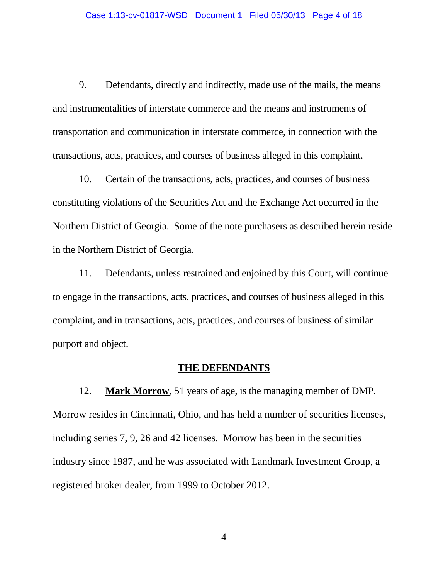9. Defendants, directly and indirectly, made use of the mails, the means and instrumentalities of interstate commerce and the means and instruments of transportation and communication in interstate commerce, in connection with the transactions, acts, practices, and courses of business alleged in this complaint.

10. Certain of the transactions, acts, practices, and courses of business constituting violations of the Securities Act and the Exchange Act occurred in the Northern District of Georgia. Some of the note purchasers as described herein reside in the Northern District of Georgia.

11. Defendants, unless restrained and enjoined by this Court, will continue to engage in the transactions, acts, practices, and courses of business alleged in this complaint, and in transactions, acts, practices, and courses of business of similar purport and object.

### **THE DEFENDANTS**

12. **Mark Morrow**, 51 years of age, is the managing member of DMP. Morrow resides in Cincinnati, Ohio, and has held a number of securities licenses, including series 7, 9, 26 and 42 licenses. Morrow has been in the securities industry since 1987, and he was associated with Landmark Investment Group, a registered broker dealer, from 1999 to October 2012.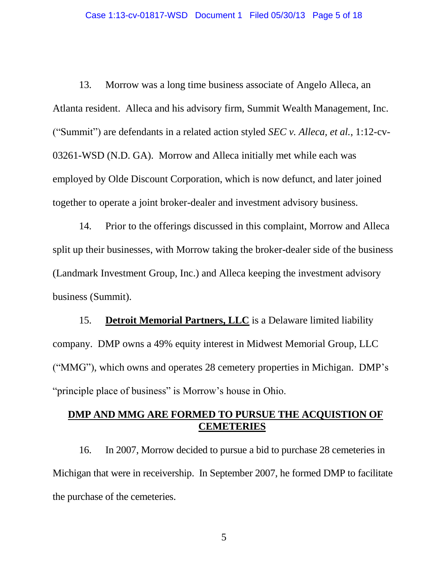13. Morrow was a long time business associate of Angelo Alleca, an Atlanta resident. Alleca and his advisory firm, Summit Wealth Management, Inc. ("Summit") are defendants in a related action styled *SEC v. Alleca, et al.*, 1:12-cv-03261-WSD (N.D. GA). Morrow and Alleca initially met while each was employed by Olde Discount Corporation, which is now defunct, and later joined together to operate a joint broker-dealer and investment advisory business.

14. Prior to the offerings discussed in this complaint, Morrow and Alleca split up their businesses, with Morrow taking the broker-dealer side of the business (Landmark Investment Group, Inc.) and Alleca keeping the investment advisory business (Summit).

15. **Detroit Memorial Partners, LLC** is a Delaware limited liability company. DMP owns a 49% equity interest in Midwest Memorial Group, LLC ("MMG"), which owns and operates 28 cemetery properties in Michigan. DMP's "principle place of business" is Morrow's house in Ohio.

## **DMP AND MMG ARE FORMED TO PURSUE THE ACQUISTION OF CEMETERIES**

16. In 2007, Morrow decided to pursue a bid to purchase 28 cemeteries in Michigan that were in receivership. In September 2007, he formed DMP to facilitate the purchase of the cemeteries.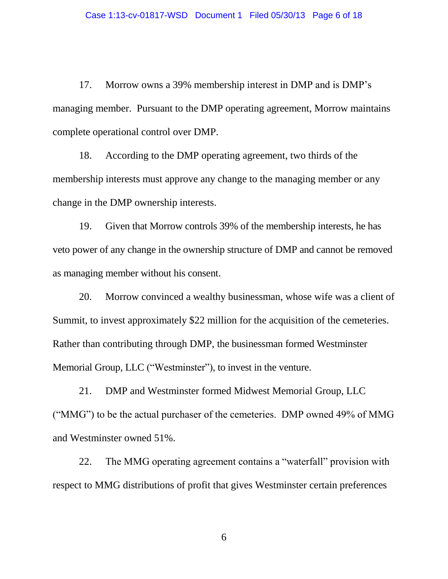17. Morrow owns a 39% membership interest in DMP and is DMP's managing member. Pursuant to the DMP operating agreement, Morrow maintains complete operational control over DMP.

18. According to the DMP operating agreement, two thirds of the membership interests must approve any change to the managing member or any change in the DMP ownership interests.

19. Given that Morrow controls 39% of the membership interests, he has veto power of any change in the ownership structure of DMP and cannot be removed as managing member without his consent.

20. Morrow convinced a wealthy businessman, whose wife was a client of Summit, to invest approximately \$22 million for the acquisition of the cemeteries. Rather than contributing through DMP, the businessman formed Westminster Memorial Group, LLC ("Westminster"), to invest in the venture.

21. DMP and Westminster formed Midwest Memorial Group, LLC ("MMG") to be the actual purchaser of the cemeteries. DMP owned 49% of MMG and Westminster owned 51%.

22. The MMG operating agreement contains a "waterfall" provision with respect to MMG distributions of profit that gives Westminster certain preferences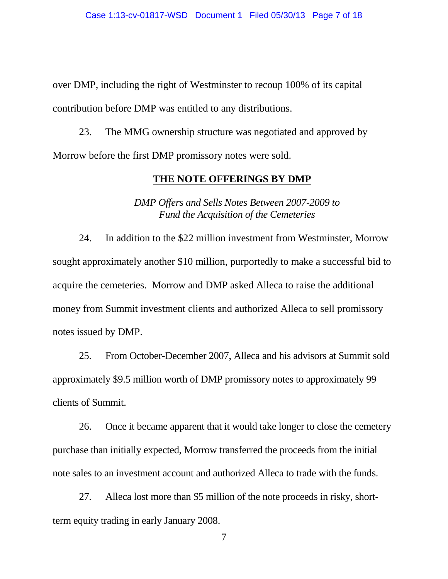over DMP, including the right of Westminster to recoup 100% of its capital contribution before DMP was entitled to any distributions.

23. The MMG ownership structure was negotiated and approved by Morrow before the first DMP promissory notes were sold.

### **THE NOTE OFFERINGS BY DMP**

*DMP Offers and Sells Notes Between 2007-2009 to Fund the Acquisition of the Cemeteries*

24. In addition to the \$22 million investment from Westminster, Morrow sought approximately another \$10 million, purportedly to make a successful bid to acquire the cemeteries. Morrow and DMP asked Alleca to raise the additional money from Summit investment clients and authorized Alleca to sell promissory notes issued by DMP.

25. From October-December 2007, Alleca and his advisors at Summit sold approximately \$9.5 million worth of DMP promissory notes to approximately 99 clients of Summit.

26. Once it became apparent that it would take longer to close the cemetery purchase than initially expected, Morrow transferred the proceeds from the initial note sales to an investment account and authorized Alleca to trade with the funds.

27. Alleca lost more than \$5 million of the note proceeds in risky, shortterm equity trading in early January 2008.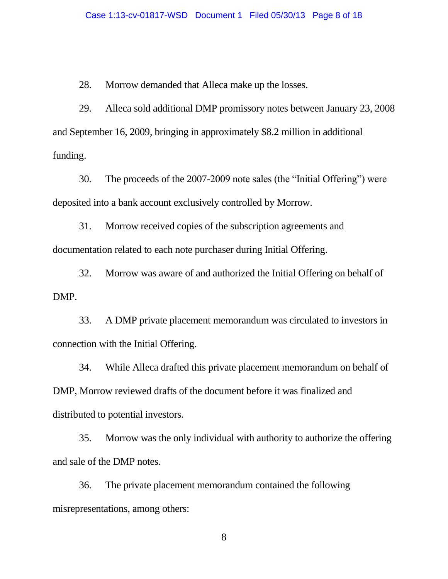28. Morrow demanded that Alleca make up the losses.

29. Alleca sold additional DMP promissory notes between January 23, 2008 and September 16, 2009, bringing in approximately \$8.2 million in additional funding.

30. The proceeds of the 2007-2009 note sales (the "Initial Offering") were deposited into a bank account exclusively controlled by Morrow.

31. Morrow received copies of the subscription agreements and documentation related to each note purchaser during Initial Offering.

32. Morrow was aware of and authorized the Initial Offering on behalf of DMP.

33. A DMP private placement memorandum was circulated to investors in connection with the Initial Offering.

34. While Alleca drafted this private placement memorandum on behalf of DMP, Morrow reviewed drafts of the document before it was finalized and distributed to potential investors.

35. Morrow was the only individual with authority to authorize the offering and sale of the DMP notes.

36. The private placement memorandum contained the following misrepresentations, among others: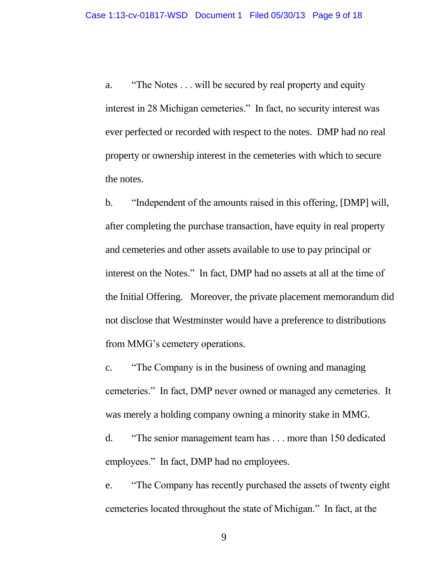a. "The Notes . . . will be secured by real property and equity interest in 28 Michigan cemeteries." In fact, no security interest was ever perfected or recorded with respect to the notes. DMP had no real property or ownership interest in the cemeteries with which to secure the notes.

b. "Independent of the amounts raised in this offering, [DMP] will, after completing the purchase transaction, have equity in real property and cemeteries and other assets available to use to pay principal or interest on the Notes." In fact, DMP had no assets at all at the time of the Initial Offering. Moreover, the private placement memorandum did not disclose that Westminster would have a preference to distributions from MMG's cemetery operations.

c. "The Company is in the business of owning and managing cemeteries." In fact, DMP never owned or managed any cemeteries. It was merely a holding company owning a minority stake in MMG.

d. "The senior management team has . . . more than 150 dedicated employees." In fact, DMP had no employees.

e. "The Company has recently purchased the assets of twenty eight cemeteries located throughout the state of Michigan." In fact, at the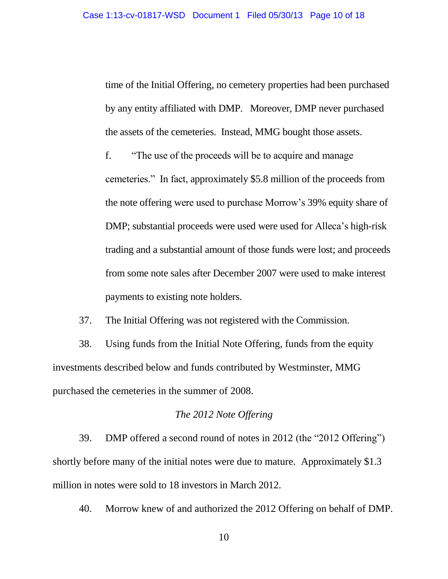time of the Initial Offering, no cemetery properties had been purchased by any entity affiliated with DMP. Moreover, DMP never purchased the assets of the cemeteries. Instead, MMG bought those assets.

f. "The use of the proceeds will be to acquire and manage cemeteries." In fact, approximately \$5.8 million of the proceeds from the note offering were used to purchase Morrow's 39% equity share of DMP; substantial proceeds were used were used for Alleca's high-risk trading and a substantial amount of those funds were lost; and proceeds from some note sales after December 2007 were used to make interest payments to existing note holders.

37. The Initial Offering was not registered with the Commission.

38. Using funds from the Initial Note Offering, funds from the equity investments described below and funds contributed by Westminster, MMG purchased the cemeteries in the summer of 2008.

#### *The 2012 Note Offering*

39. DMP offered a second round of notes in 2012 (the "2012 Offering") shortly before many of the initial notes were due to mature. Approximately \$1.3 million in notes were sold to 18 investors in March 2012.

40. Morrow knew of and authorized the 2012 Offering on behalf of DMP.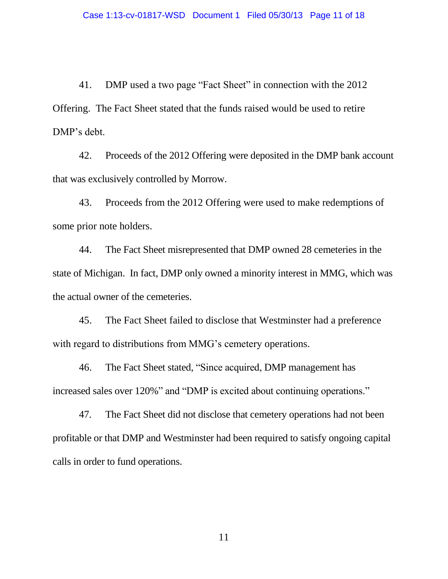41. DMP used a two page "Fact Sheet" in connection with the 2012 Offering. The Fact Sheet stated that the funds raised would be used to retire DMP's debt.

42. Proceeds of the 2012 Offering were deposited in the DMP bank account that was exclusively controlled by Morrow.

43. Proceeds from the 2012 Offering were used to make redemptions of some prior note holders.

44. The Fact Sheet misrepresented that DMP owned 28 cemeteries in the state of Michigan. In fact, DMP only owned a minority interest in MMG, which was the actual owner of the cemeteries.

45. The Fact Sheet failed to disclose that Westminster had a preference with regard to distributions from MMG's cemetery operations.

46. The Fact Sheet stated, "Since acquired, DMP management has increased sales over 120%" and "DMP is excited about continuing operations."

47. The Fact Sheet did not disclose that cemetery operations had not been profitable or that DMP and Westminster had been required to satisfy ongoing capital calls in order to fund operations.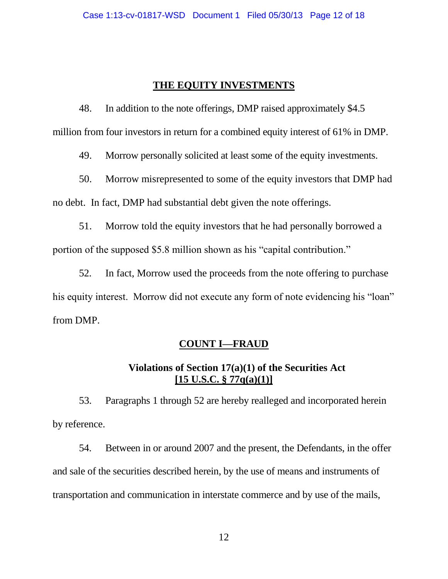## **THE EQUITY INVESTMENTS**

48. In addition to the note offerings, DMP raised approximately \$4.5 million from four investors in return for a combined equity interest of 61% in DMP.

49. Morrow personally solicited at least some of the equity investments.

50. Morrow misrepresented to some of the equity investors that DMP had no debt. In fact, DMP had substantial debt given the note offerings.

51. Morrow told the equity investors that he had personally borrowed a portion of the supposed \$5.8 million shown as his "capital contribution."

52. In fact, Morrow used the proceeds from the note offering to purchase his equity interest. Morrow did not execute any form of note evidencing his "loan" from DMP.

### **COUNT I—FRAUD**

# **Violations of Section 17(a)(1) of the Securities Act [15 U.S.C. § 77q(a)(1)]**

53. Paragraphs 1 through 52 are hereby realleged and incorporated herein by reference.

54. Between in or around 2007 and the present, the Defendants, in the offer and sale of the securities described herein, by the use of means and instruments of transportation and communication in interstate commerce and by use of the mails,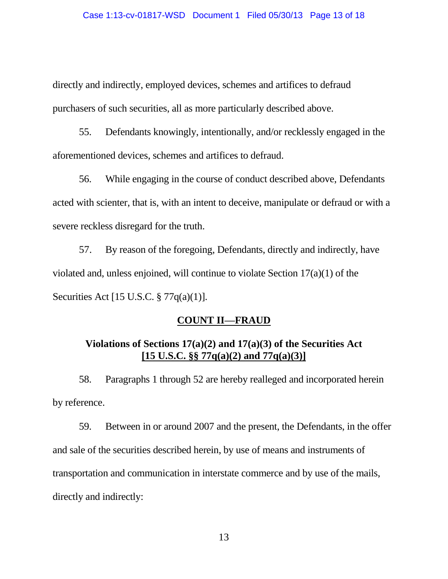directly and indirectly, employed devices, schemes and artifices to defraud purchasers of such securities, all as more particularly described above.

55. Defendants knowingly, intentionally, and/or recklessly engaged in the aforementioned devices, schemes and artifices to defraud.

56. While engaging in the course of conduct described above, Defendants acted with scienter, that is, with an intent to deceive, manipulate or defraud or with a severe reckless disregard for the truth.

57. By reason of the foregoing, Defendants, directly and indirectly, have violated and, unless enjoined, will continue to violate Section 17(a)(1) of the Securities Act [15 U.S.C. § 77q(a)(1)].

## **COUNT II—FRAUD**

## **Violations of Sections 17(a)(2) and 17(a)(3) of the Securities Act [15 U.S.C. §§ 77q(a)(2) and 77q(a)(3)]**

58. Paragraphs 1 through 52 are hereby realleged and incorporated herein by reference.

59. Between in or around 2007 and the present, the Defendants, in the offer and sale of the securities described herein, by use of means and instruments of transportation and communication in interstate commerce and by use of the mails, directly and indirectly: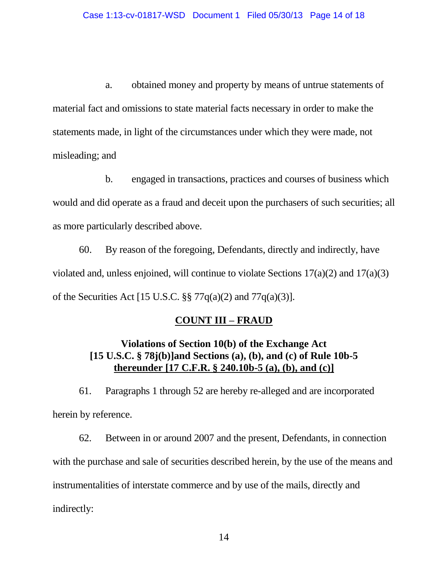a. obtained money and property by means of untrue statements of material fact and omissions to state material facts necessary in order to make the statements made, in light of the circumstances under which they were made, not misleading; and

b. engaged in transactions, practices and courses of business which would and did operate as a fraud and deceit upon the purchasers of such securities; all as more particularly described above.

60. By reason of the foregoing, Defendants, directly and indirectly, have violated and, unless enjoined, will continue to violate Sections 17(a)(2) and 17(a)(3) of the Securities Act [15 U.S.C. §§ 77q(a)(2) and 77q(a)(3)].

## **COUNT III – FRAUD**

# **Violations of Section 10(b) of the Exchange Act [15 U.S.C. § 78j(b)]and Sections (a), (b), and (c) of Rule 10b-5 thereunder [17 C.F.R. § 240.10b-5 (a), (b), and (c)]**

61. Paragraphs 1 through 52 are hereby re-alleged and are incorporated herein by reference.

62. Between in or around 2007 and the present, Defendants, in connection with the purchase and sale of securities described herein, by the use of the means and instrumentalities of interstate commerce and by use of the mails, directly and indirectly: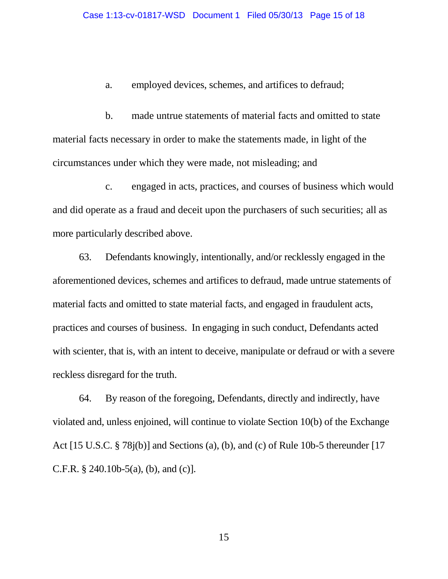a. employed devices, schemes, and artifices to defraud;

b. made untrue statements of material facts and omitted to state material facts necessary in order to make the statements made, in light of the circumstances under which they were made, not misleading; and

c. engaged in acts, practices, and courses of business which would and did operate as a fraud and deceit upon the purchasers of such securities; all as more particularly described above.

63. Defendants knowingly, intentionally, and/or recklessly engaged in the aforementioned devices, schemes and artifices to defraud, made untrue statements of material facts and omitted to state material facts, and engaged in fraudulent acts, practices and courses of business. In engaging in such conduct, Defendants acted with scienter, that is, with an intent to deceive, manipulate or defraud or with a severe reckless disregard for the truth.

64. By reason of the foregoing, Defendants, directly and indirectly, have violated and, unless enjoined, will continue to violate Section 10(b) of the Exchange Act [15 U.S.C. § 78j(b)] and Sections (a), (b), and (c) of Rule 10b-5 thereunder [17 C.F.R.  $\S$  240.10b-5(a), (b), and (c)].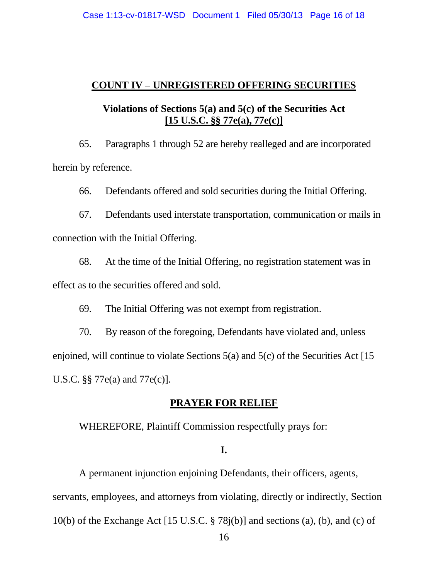### **COUNT IV – UNREGISTERED OFFERING SECURITIES**

## **Violations of Sections 5(a) and 5(c) of the Securities Act [15 U.S.C. §§ 77e(a), 77e(c)]**

65. Paragraphs 1 through 52 are hereby realleged and are incorporated herein by reference.

66. Defendants offered and sold securities during the Initial Offering.

67. Defendants used interstate transportation, communication or mails in connection with the Initial Offering.

68. At the time of the Initial Offering, no registration statement was in effect as to the securities offered and sold.

69. The Initial Offering was not exempt from registration.

70. By reason of the foregoing, Defendants have violated and, unless enjoined, will continue to violate Sections 5(a) and 5(c) of the Securities Act [15 U.S.C. §§ 77e(a) and 77e(c)].

## **PRAYER FOR RELIEF**

WHEREFORE, Plaintiff Commission respectfully prays for:

### **I.**

A permanent injunction enjoining Defendants, their officers, agents, servants, employees, and attorneys from violating, directly or indirectly, Section 10(b) of the Exchange Act  $[15 \text{ U.S.C.} \$   $[78 \text{ j(b)}]$  and sections (a), (b), and (c) of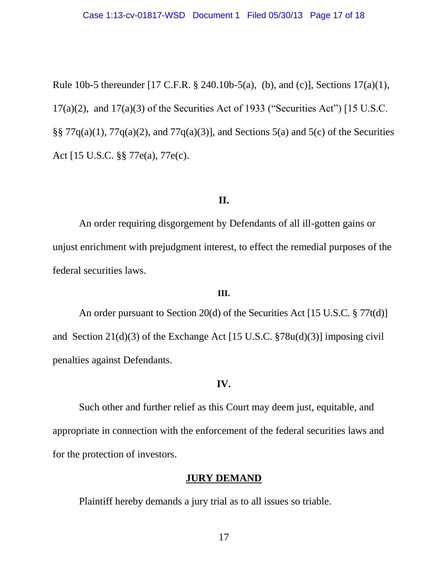Rule 10b-5 thereunder [17 C.F.R. § 240.10b-5(a), (b), and (c)], Sections 17(a)(1),  $17(a)(2)$ , and  $17(a)(3)$  of the Securities Act of 1933 ("Securities Act") [15 U.S.C. §§ 77 $q(a)(1)$ , 77 $q(a)(2)$ , and 77 $q(a)(3)$ ], and Sections 5(a) and 5(c) of the Securities Act [15 U.S.C. §§ 77e(a), 77e(c).

#### **II.**

An order requiring disgorgement by Defendants of all ill-gotten gains or unjust enrichment with prejudgment interest, to effect the remedial purposes of the federal securities laws.

#### **III.**

An order pursuant to Section 20(d) of the Securities Act [15 U.S.C. § 77t(d)] and Section 21(d)(3) of the Exchange Act [15 U.S.C. §78u(d)(3)] imposing civil penalties against Defendants.

### **IV.**

Such other and further relief as this Court may deem just, equitable, and appropriate in connection with the enforcement of the federal securities laws and for the protection of investors.

#### **JURY DEMAND**

Plaintiff hereby demands a jury trial as to all issues so triable.